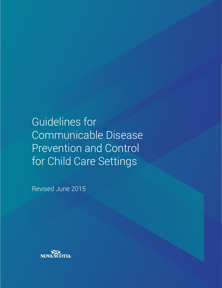Guidelines for Communicable Disease Prevention and Control for Child Care Settings

Revised June 2015

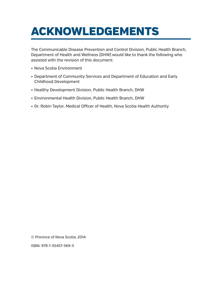# ACKNOWLEDGEMENTS

The Communicable Disease Prevention and Control Division, Public Health Branch, Department of Health and Wellness (DHW) would like to thank the following who assisted with the revision of this document:

- • Nova Scotia Environment
- Department of Community Services and Department of Education and Early Childhood Development
- Healthy Development Division, Public Health Branch, DHW
- • Environmental Health Division, Public Health Branch, DHW
- Dr. Robin Taylor, Medical Officer of Health, Nova Scotia Health Authority

© Province of Nova Scotia, 2014

ISBN: 978-1-55457-569-5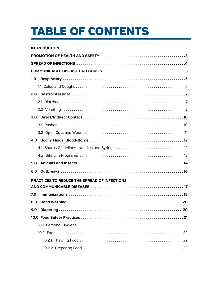# TABLE OF CONTENTS

| 1.0                                          |
|----------------------------------------------|
|                                              |
| 2.0                                          |
|                                              |
|                                              |
|                                              |
|                                              |
|                                              |
|                                              |
|                                              |
|                                              |
| 5.0                                          |
| 6.0                                          |
| PRACTICES TO REDUCE THE SPREAD OF INFECTIONS |
|                                              |
| 7.0                                          |
| 8.0                                          |
| 9.0                                          |
|                                              |
|                                              |
|                                              |
|                                              |
|                                              |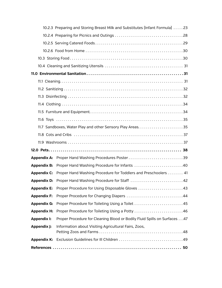|                    | 10.2.3 Preparing and Storing Breast Milk and Substitutes [Infant Formula] 23 |  |  |
|--------------------|------------------------------------------------------------------------------|--|--|
|                    |                                                                              |  |  |
|                    |                                                                              |  |  |
|                    |                                                                              |  |  |
|                    |                                                                              |  |  |
|                    |                                                                              |  |  |
|                    |                                                                              |  |  |
|                    |                                                                              |  |  |
|                    |                                                                              |  |  |
|                    |                                                                              |  |  |
|                    |                                                                              |  |  |
|                    |                                                                              |  |  |
|                    |                                                                              |  |  |
|                    |                                                                              |  |  |
|                    |                                                                              |  |  |
|                    |                                                                              |  |  |
|                    |                                                                              |  |  |
|                    | Appendix A: Proper Hand Washing Procedures Poster39                          |  |  |
| <b>Appendix B:</b> | Proper Hand Washing Procedure for Infants 40                                 |  |  |
| <b>Appendix C:</b> | Proper Hand Washing Procedure for Toddlers and Preschoolers 41               |  |  |
|                    | <b>Appendix D:</b> Proper Hand Washing Procedure for Staff 42                |  |  |
|                    | Appendix E: Proper Procedure for Using Disposable Gloves 43                  |  |  |
| <b>Appendix F:</b> | Proper Procedure for Changing Diapers 44                                     |  |  |
| <b>Appendix G:</b> | Proper Procedure for Toileting Using a Toilet 45                             |  |  |
| <b>Appendix H:</b> | Proper Procedure for Toileting Using a Potty 46                              |  |  |
| <b>Appendix I:</b> | Proper Procedure for Cleaning Blood or Bodily Fluid Spills on Surfaces 47    |  |  |
| Appendix J:        | Information about Visiting Agricultural Fairs, Zoos,                         |  |  |
| Appendix K:        |                                                                              |  |  |
|                    |                                                                              |  |  |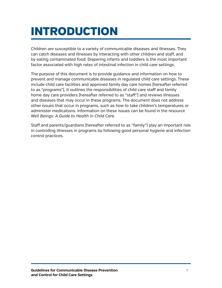# <span id="page-4-0"></span>INTRODUCTION

Children are susceptible to a variety of communicable diseases and illnesses. They can catch diseases and illnesses by interacting with other children and staff, and by eating contaminated food. Diapering infants and toddlers is the most important factor associated with high rates of intestinal infection in child care settings.

The purpose of this document is to provide guidance and information on how to prevent and manage communicable diseases in regulated child care settings. These include child care facilities and approved family day care homes (hereafter referred to as "programs"). It outlines the responsibilities of child care staff and family home day care providers (hereafter referred to as "staff") and reviews illnesses and diseases that may occur in these programs. The document does not address other issues that occur in programs, such as how to take children's temperatures or administer medications. Information on these issues can be found in the resource *Well Beings: A Guide to Health in Child Care.*

Staff and parents/guardians (hereafter referred to as "family") play an important role in controlling illnesses in programs by following good personal hygiene and infection control practices.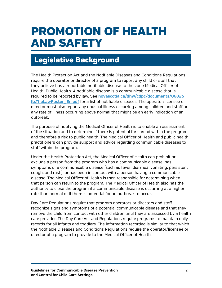# <span id="page-5-0"></span>PROMOTION OF HEALTH AND SAFETY

## Legislative Background

The Health Protection Act and the Notifiable Diseases and Conditions Regulations require the operator or director of a program to report any child or staff that they believe has a reportable notifiable disease to the zone Medical Officer of Health, Public Health. A notifiable disease is a communicable disease that is required to be reported by law. See **[novascotia.ca/dhw/cdpc/documents/06026\\_](http://novascotia.ca/dhw/cdpc/documents/06026_ItsTheLawPoster_En.pdf) [ItsTheLawPoster\\_En.pdf](http://novascotia.ca/dhw/cdpc/documents/06026_ItsTheLawPoster_En.pdf)** for a list of notifiable diseases. The operator/licensee or director must also report any unusual illness occurring among children and staff or any rate of illness occurring above normal that might be an early indication of an outbreak.

The purpose of notifying the Medical Officer of Health is to enable an assessment of the situation and to determine if there is potential for spread within the program and therefore a risk to public health. The Medical Officer of Health and public health practitioners can provide support and advice regarding communicable diseases to staff within the program.

Under the Health Protection Act, the Medical Officer of Health can prohibit or exclude a person from the program who has a communicable disease, has symptoms of a communicable disease (such as fever, diarrhea, vomiting, persistent cough, and rash), or has been in contact with a person having a communicable disease. The Medical Officer of Health is then responsible for determining when that person can return to the program. The Medical Officer of Health also has the authority to close the program if a communicable disease is occurring at a higher rate than normal or if there is potential for an outbreak to occur.

Day Care Regulations require that program operators or directors and staff recognize signs and symptoms of a potential communicable disease and that they remove the child from contact with other children until they are assessed by a health care provider. The Day Care Act and Regulations require programs to maintain daily records for all infants and toddlers. The information recorded is similar to that which the Notifiable Diseases and Conditions Regulations require the operator/licensee or director of a program to provide to the Medical Officer of Health.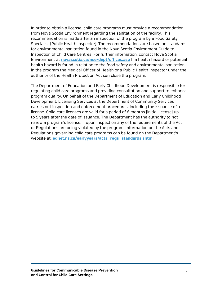In order to obtain a license, child care programs must provide a recommendation from Nova Scotia Environment regarding the sanitation of the facility. This recommendation is made after an inspection of the program by a Food Safety Specialist (Public Health Inspector). The recommendations are based on standards for environmental sanitation found in the Nova Scotia Environment Guide to Inspection of Child Care Centres. For further information, contact Nova Scotia Environment at **[novascotia.ca/nse/dept/offices.asp](http://novascotia.ca/nse/dept/offices.asp)** If a health hazard or potential health hazard is found in relation to the food safety and environmental sanitation in the program the Medical Officer of Health or a Public Health Inspector under the authority of the Health Protection Act can close the program.

The Department of Education and Early Childhood Development is responsible for regulating child care programs and providing consultation and support to enhance program quality. On behalf of the Department of Education and Early Childhood Development, Licensing Services at the Department of Community Services carries out inspection and enforcement procedures, including the issuance of a license. Child care licenses are valid for a period of 6 months (initial license) up to 5 years after the date of issuance. The Department has the authority to not renew a program's license, if upon inspection any of the requirements of the Act or Regulations are being violated by the program. Information on the Acts and Regulations governing child care programs can be found on the Department's website at: **[ednet.ns.ca/earlyyears/acts\\_regs\\_standards.shtml](http://www.ednet.ns.ca/earlyyears/acts_regs_standards.shtml)**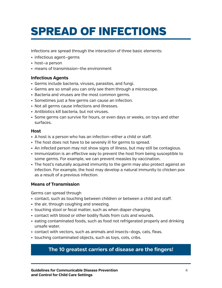# <span id="page-7-0"></span>SPREAD OF INFECTIONS

Infections are spread through the interaction of three basic elements:

- infectious agent-germs
- host-a person
- means of transmission–the environment

## **Infectious Agents**

- • Germs include bacteria, viruses, parasites, and fungi.
- Germs are so small you can only see them through a microscope.
- Bacteria and viruses are the most common germs.
- Sometimes just a few germs can cause an infection.
- Not all germs cause infections and illnesses.
- Antibiotics kill bacteria, but not viruses.
- • Some germs can survive for hours, or even days or weeks, on toys and other surfaces.

### **Host**

- A host is a person who has an infection–either a child or staff.
- The host does not have to be severely ill for germs to spread.
- An infected person may not show signs of illness, but may still be contagious.
- • Immunization is an effective way to prevent the host from being susceptible to some germs. For example, we can prevent measles by vaccination.
- The host's naturally acquired immunity to the germ may also protect against an infection. For example, the host may develop a natural immunity to chicken pox as a result of a previous infection.

## **Means of Transmission**

Germs can spread through

- • contact, such as touching between children or between a child and staff.
- the air, through coughing and sneezing.
- touching stool or fecal matter, such as when diaper changing.
- contact with blood or other bodily fluids from cuts and wounds.
- eating contaminated foods, such as food not refrigerated properly and drinking unsafe water.
- • contact with vectors, such as animals and insects—dogs, cats, fleas.
- touching contaminated objects, such as toys, cots, cribs.

## **The 10 greatest carriers of disease are the fingers!**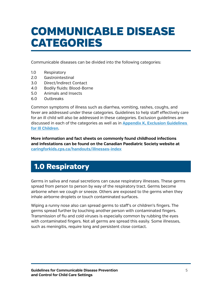# <span id="page-8-0"></span>COMMUNICABLE DISEASE CATEGORIES

Communicable diseases can be divided into the following categories:

- 1.0 Respiratory
- 2.0 Gastrointestinal
- 3.0 Direct/Indirect Contact
- 4.0 Bodily fluids: Blood-Borne
- 5.0 Animals and Insects
- 6.0 Outbreaks

Common symptoms of illness such as diarrhea, vomiting, rashes, coughs, and fever are addressed under these categories. Guidelines to help staff effectively care for an ill child will also be addressed in these categories. Exclusion guidelines are discussed in each of the categories as well as in **[Appendix K, Exclusion Guidelines](#page-52-1)  [for Ill Children](#page-52-1)**.

**More information and fact sheets on commonly found childhood infections and infestations can be found on the Canadian Paediatric Society website at [caringforkids.cps.ca/handouts/illnesses-index](http://caringforkids.cps.ca/handouts/illnesses-index)**

# <span id="page-8-1"></span>1.0 Respiratory

Germs in saliva and nasal secretions can cause respiratory illnesses. These germs spread from person to person by way of the respiratory tract. Germs become airborne when we cough or sneeze. Others are exposed to the germs when they inhale airborne droplets or touch contaminated surfaces.

Wiping a runny nose also can spread germs to staff's or children's fingers. The germs spread further by touching another person with contaminated fingers. Transmission of flu and cold viruses is especially common by rubbing the eyes with contaminated fingers. Not all germs are spread this easily. Some illnesses, such as meningitis, require long and persistent close contact.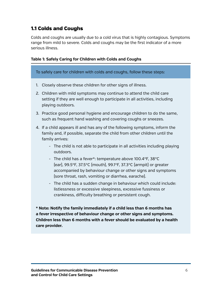## <span id="page-9-0"></span>1.1 Colds and Coughs

Colds and coughs are usually due to a cold virus that is highly contagious. Symptoms range from mild to severe. Colds and coughs may be the first indicator of a more serious illness.

### **Table 1: Safely Caring for Children with Colds and Coughs**

To safely care for children with colds and coughs, follow these steps:

- 1. Closely observe these children for other signs of illness.
- 2. Children with mild symptoms may continue to attend the child care setting if they are well enough to participate in all activities, including playing outdoors.
- 3. Practice good personal hygiene and encourage children to do the same, such as frequent hand washing and covering coughs or sneezes.
- 4. If a child appears ill and has any of the following symptoms, inform the family and, if possible, separate the child from other children until the family arrives:
	- The child is not able to participate in all activities including playing outdoors.
	- The child has a fever\*: temperature above 100.4°F, 38°C (ear), 99.5°F, 37.5°C (mouth), 99.1°F, 37.3°C (armpit) or greater accompanied by behaviour change or other signs and symptoms (sore throat, rash, vomiting or diarrhea, earache).
	- The child has a sudden change in behaviour which could include: listlessness or excessive sleepiness, excessive fussiness or crankiness, difficulty breathing or persistent cough.

**\* Note: Notify the family immediately if a child less than 6 months has a fever irrespective of behaviour change or other signs and symptoms. Children less than 6 months with a fever should be evaluated by a health care provider.**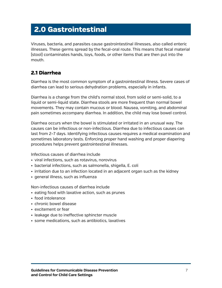# <span id="page-10-0"></span>2.0 Gastrointestinal

Viruses, bacteria, and parasites cause gastrointestinal illnesses, also called enteric illnesses. These germs spread by the fecal-oral route. This means that fecal material (stool) contaminates hands, toys, foods, or other items that are then put into the mouth.

## <span id="page-10-1"></span>2.1 Diarrhea

Diarrhea is the most common symptom of a gastrointestinal illness. Severe cases of diarrhea can lead to serious dehydration problems, especially in infants.

Diarrhea is a change from the child's normal stool, from solid or semi-solid, to a liquid or semi-liquid state. Diarrhea stools are more frequent than normal bowel movements. They may contain mucous or blood. Nausea, vomiting, and abdominal pain sometimes accompany diarrhea. In addition, the child may lose bowel control.

Diarrhea occurs when the bowel is stimulated or irritated in an unusual way. The causes can be infectious or non-infectious. Diarrhea due to infectious causes can last from 2–7 days. Identifying infectious causes requires a medical examination and sometimes laboratory tests. Enforcing proper hand washing and proper diapering procedures helps prevent gastrointestinal illnesses.

Infectious causes of diarrhea include

- viral infections, such as rotavirus, norovirus
- bacterial infections, such as salmonella, shigella, E. coli
- irritation due to an infection located in an adjacent organ such as the kidney
- general illness, such as influenza

Non-infectious causes of diarrhea include

- eating food with laxative action, such as prunes
- food intolerance
- chronic bowel disease
- excitement or fear
- leakage due to ineffective sphincter muscle
- some medications, such as antibiotics, laxatives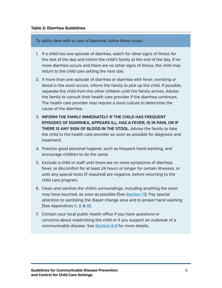To safely deal with a case of diarrhea, follow these steps:

- 1. If a child has one episode of diarrhea, watch for other signs of illness for the rest of the day and inform the child's family at the end of the day. If no more diarrhea occurs and there are no other signs of illness, the child may return to the child care setting the next day.
- 2. If more than one episode of diarrhea or diarrhea with fever, vomiting or blood in the stool occurs, inform the family to pick up the child. If possible, separate the child from the other children until the family arrives. Advise the family to consult their health care provider if the diarrhea continues. The health care provider may require a stool culture to determine the cause of the diarrhea.
- 3. **INFORM THE FAMILY IMMEDIATELY IF THE CHILD HAS FREQUENT EPISODES OF DIARRHEA, APPEARS ILL, HAS A FEVER, IS IN PAIN, OR IF THERE IS ANY SIGN OF BLOOD IN THE STOOL.** Advise the family to take the child to the health care provider as soon as possible for diagnosis and treatment.
- 4. Practice good personal hygiene, such as frequent hand washing, and encourage children to do the same.
- 5. Exclude a child or staff until there are no more symptoms of diarrhea, fever, or discomfort for at least 24 hours or longer for certain illnesses, or until any special tests (if required) are negative, before returning to the child care program.
- 6. Clean and sanitize the child's surroundings, including anything the stool may have touched, as soon as possible (See **[Section 11](#page-34-1)**). Pay special attention to sanitizing the diaper change area and to proper hand washing (See Appendices **[F](#page-47-1)**, **[G](#page-48-1)** & **[H](#page-49-1)**).
- 7. Contact your local public health office if you have questions or concerns about readmitting the child or if you suspect an outbreak of a communicable disease. See **[Section 6.0](#page-19-0)** for more details.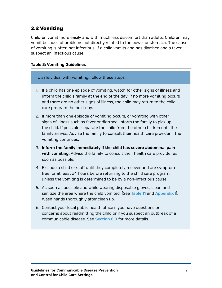## <span id="page-12-0"></span>2.2 Vomiting

Children vomit more easily and with much less discomfort than adults. Children may vomit because of problems not directly related to the bowel or stomach. The cause of vomiting is often not infectious. If a child vomits and has diarrhea and a fever, suspect an infectious cause.

#### **Table 3: Vomiting Guidelines**

To safely deal with vomiting, follow these steps:

- 1. If a child has one episode of vomiting, watch for other signs of illness and inform the child's family at the end of the day. If no more vomiting occurs and there are no other signs of illness, the child may return to the child care program the next day.
- 2. If more than one episode of vomiting occurs, or vomiting with other signs of illness such as fever or diarrhea, inform the family to pick up the child. If possible, separate the child from the other children until the family arrives. Advise the family to consult their health care provider if the vomiting continues.
- 3. **Inform the family immediately if the child has severe abdominal pain with vomiting.** Advise the family to consult their health care provider as soon as possible.
- 4. Exclude a child or staff until they completely recover and are symptomfree for at least 24 hours before returning to the child care program, unless the vomiting is determined to be by a non-infectious cause.
- 5. As soon as possible and while wearing disposable gloves, clean and sanitize the area where the child vomited. (See **[Table 11](#page-36-0)** and **[Appendix](#page-50-1) I**). Wash hands thoroughly after clean up.
- 6. Contact your local public health office if you have questions or concerns about readmitting the child or if you suspect an outbreak of a communicable disease. See **[Section 6.0](#page-19-0)** for more details.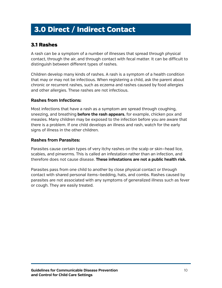# <span id="page-13-0"></span>3.0 Direct / Indirect Contact

## <span id="page-13-1"></span>3.1 Rashes

A rash can be a symptom of a number of illnesses that spread through physical contact, through the air, and through contact with fecal matter. It can be difficult to distinguish between different types of rashes.

Children develop many kinds of rashes. A rash is a symptom of a health condition that may or may not be infectious. When registering a child, ask the parent about chronic or recurrent rashes, such as eczema and rashes caused by food allergies and other allergies. These rashes are not infectious.

## **Rashes from Infections:**

Most infections that have a rash as a symptom are spread through coughing, sneezing, and breathing **before the rash appears**, for example, chicken pox and measles. Many children may be exposed to the infection before you are aware that there is a problem. If one child develops an illness and rash, watch for the early signs of illness in the other children.

## **Rashes from Parasites:**

Parasites cause certain types of very itchy rashes on the scalp or skin—head lice, scabies, and pinworms. This is called an infestation rather than an infection, and therefore does not cause disease. **These infestations are not a public health risk.**

Parasites pass from one child to another by close physical contact or through contact with shared personal items—bedding, hats, and combs. Rashes caused by parasites are not associated with any symptoms of generalized illness such as fever or cough. They are easily treated.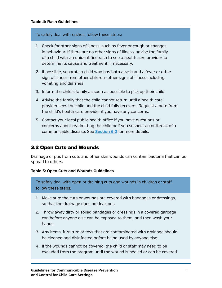#### To safely deal with rashes, follow these steps:

- 1. Check for other signs of illness, such as fever or cough or changes in behaviour. If there are no other signs of illness, advise the family of a child with an unidentified rash to see a health care provider to determine its cause and treatment, if necessary.
- 2. If possible, separate a child who has both a rash and a fever or other sign of illness from other children—other signs of illness including vomiting and diarrhea.
- 3. Inform the child's family as soon as possible to pick up their child.
- 4. Advise the family that the child cannot return until a health care provider sees the child and the child fully recovers. Request a note from the child's health care provider if you have any concerns.
- 5. Contact your local public health office if you have questions or concerns about readmitting the child or if you suspect an outbreak of a communicable disease. See **[Section 6.0](#page-19-0)** for more details.

## <span id="page-14-0"></span>3.2 Open Cuts and Wounds

Drainage or pus from cuts and other skin wounds can contain bacteria that can be spread to others.

#### **Table 5: Open Cuts and Wounds Guidelines**

To safely deal with open or draining cuts and wounds in children or staff, follow these steps:

- 1. Make sure the cuts or wounds are covered with bandages or dressings, so that the drainage does not leak out.
- 2. Throw away dirty or soiled bandages or dressings in a covered garbage can before anyone else can be exposed to them, and then wash your hands.
- 3. Any items, furniture or toys that are contaminated with drainage should be cleaned and disinfected before being used by anyone else.
- 4. If the wounds cannot be covered, the child or staff may need to be excluded from the program until the wound is healed or can be covered.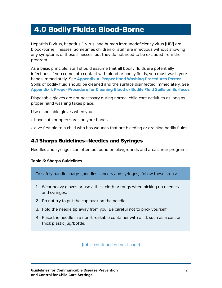## <span id="page-15-0"></span>4.0 Bodily Fluids: Blood-Borne

Hepatitis B virus, hepatitis C virus, and human immunodeficiency virus (HIV) are blood-borne illnesses. Sometimes children or staff are infectious without showing any symptoms of these illnesses, but they do not need to be excluded from the program.

As a basic principle, staff should assume that all bodily fluids are potentially infectious. If you come into contact with blood or bodily fluids, you must wash your hands immediately. See **[Appendix A, Proper Hand Washing Procedures Poster](#page-42-1)**. Spills of bodily fluid should be cleaned and the surface disinfected immediately. See **[Appendix I, Proper Procedure for Cleaning Blood or Bodily Fluid Spills on Surfaces](#page-50-1)**.

Disposable gloves are not necessary during normal child care activities as long as proper hand washing takes place.

Use disposable gloves when you

- have cuts or open sores on your hands
- give first aid to a child who has wounds that are bleeding or draining bodily fluids

## <span id="page-15-1"></span>4.1 Sharps Guidelines—Needles and Syringes

Needles and syringes can often be found on playgrounds and areas near programs.

#### **Table 6: Sharps Guidelines**

To safely handle sharps (needles, lancets and syringes), follow these steps:

- 1. Wear heavy gloves or use a thick cloth or tongs when picking up needles and syringes.
- 2. Do not try to put the cap back on the needle.
- 3. Hold the needle tip away from you. Be careful not to prick yourself.
- 4. Place the needle in a non-breakable container with a lid, such as a can, or thick plastic jug/bottle.

(table continued on next page)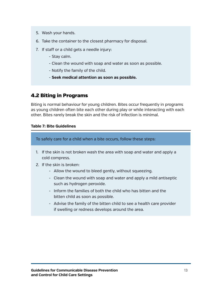- 5. Wash your hands.
- 6. Take the container to the closest pharmacy for disposal.
- 7. If staff or a child gets a needle injury:
	- Stay calm.
	- Clean the wound with soap and water as soon as possible.
	- Notify the family of the child.
	- **Seek medical attention as soon as possible.**

## <span id="page-16-0"></span>4.2 Biting in Programs

Biting is normal behaviour for young children. Bites occur frequently in programs as young children often bite each other during play or while interacting with each other. Bites rarely break the skin and the risk of infection is minimal.

### **Table 7: Bite Guidelines**

To safely care for a child when a bite occurs, follow these steps:

- 1. If the skin is not broken wash the area with soap and water and apply a cold compress.
- 2. If the skin is broken:
	- Allow the wound to bleed gently, without squeezing.
	- Clean the wound with soap and water and apply a mild antiseptic such as hydrogen peroxide.
	- Inform the families of both the child who has bitten and the bitten child as soon as possible.
	- Advise the family of the bitten child to see a health care provider if swelling or redness develops around the area.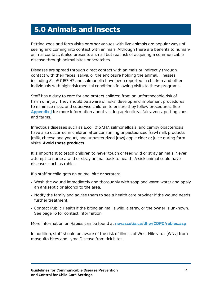## <span id="page-17-0"></span>5.0 Animals and Insects

Petting zoos and farm visits or other venues with live animals are popular ways of seeing and coming into contact with animals. Although there are benefits to humananimal contact, it also presents a small but real risk of acquiring a communicable disease through animal bites or scratches.

Diseases are spread through direct contact with animals or indirectly through contact with their feces, saliva, or the enclosure holding the animal. Illnesses including *E.coli* 0157:H7 and salmonella have been reported in children and other individuals with high-risk medical conditions following visits to these programs.

Staff has a duty to care for and protect children from an unforeseeable risk of harm or injury. They should be aware of risks, develop and implement procedures to minimize risks, and supervise children to ensure they follow procedures. See **[Appendix J](#page-51-1)** for more information about visiting agricultural fairs, zoos, petting zoos and farms.

Infectious diseases such as E.coli 0157:H7, salmonellosis, and campylobacteriosis have also occurred in children after consuming unpasteurized (raw) milk products (milk, cheese and yogurt) and unpasteurized (raw) apple cider or juice during farm visits. **Avoid these products.**

It is important to teach children to never touch or feed wild or stray animals. Never attempt to nurse a wild or stray animal back to health. A sick animal could have diseases such as rabies.

If a staff or child gets an animal bite or scratch:

- • Wash the wound immediately and thoroughly with soap and warm water and apply an antiseptic or alcohol to the area.
- Notify the family and advise them to see a health care provider if the wound needs further treatment.
- • Contact Public Health if the biting animal is wild, a stray, or the owner is unknown. See page 16 for contact information.

More information on Rabies can be found at **[novascotia.ca/dhw/CDPC/rabies.asp](http://novascotia.ca/dhw/CDPC/rabies.asp)**

In addition, staff should be aware of the risk of illness of West Nile virus (WNv) from mosquito bites and Lyme Disease from tick bites.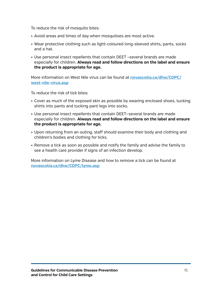To reduce the risk of mosquito bites:

- Avoid areas and times of day when mosquitoes are most active.
- Wear protective clothing such as light-coloured long-sleeved shirts, pants, socks and a hat.
- Use personal insect repellents that contain DEET -several brands are made especially for children. **Always read and follow directions on the label and ensure the product is appropriate for age.**

More information on West Nile virus can be found at **[novascotia.ca/dhw/CDPC/](http://novascotia.ca/dhw/CDPC/west-nile-virus.asp) [west-nile-virus.asp](http://novascotia.ca/dhw/CDPC/west-nile-virus.asp)**

To reduce the risk of tick bites:

- Cover as much of the exposed skin as possible by wearing enclosed shoes, tucking shirts into pants and tucking pant legs into socks.
- • Use personal insect repellents that contain DEET—several brands are made especially for children. **Always read and follow directions on the label and ensure the product is appropriate for age.**
- • Upon returning from an outing, staff should examine their body and clothing and children's bodies and clothing for ticks.
- Remove a tick as soon as possible and notify the family and advise the family to see a health care provider if signs of an infection develop.

More information on Lyme Disease and how to remove a tick can be found at **[novascotia.ca/dhw/CDPC/lyme.asp](http://novascotia.ca/dhw/CDPC/lyme.asp)**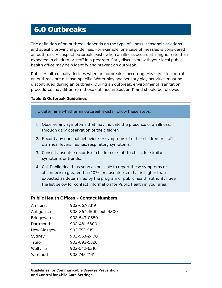## <span id="page-19-0"></span>6.0 Outbreaks

The definition of an outbreak depends on the type of illness, seasonal variations and specific provincial guidelines. For example, one case of measles is considered an outbreak. A suspect outbreak exists when an illness occurs at a higher rate than expected in children or staff in a program. Early discussion with your local public health office may help identify and prevent an outbreak.

Public Health usually decides when an outbreak is occurring. Measures to control an outbreak are disease-specific. Water play and sensory play activities must be discontinued during an outbreak. During an outbreak, environmental sanitation procedures may differ from those outlined in Section 11 and should be followed.

#### **Table 8: Outbreak Guidelines**

To determine whether an outbreak exists, follow these steps:

- 1. Observe any symptoms that may indicate the presence of an illness, through daily observation of the children.
- 2. Record any unusual behaviour or symptoms of either children or staff diarrhea, fevers, rashes, respiratory symptoms.
- 3. Consult absentee records of children or staff to check for similar symptoms or trends.
- 4. Call Public Health as soon as possible to report these symptoms or absenteeism greater than 10% (or absenteeism that is higher than expected as determined by the program or public health authority). See the list below for contact information for Public Health in your area.

#### **Public Health Offices – Contact Numbers**

| Amherst            | 902-667-3319            |
|--------------------|-------------------------|
| Antigonish         | 902-867-4500, ext. 4800 |
| <b>Bridgewater</b> | 902-543-0850            |
| Dartmouth          | 902-481-5800            |
| New Glasgow        | 902-752-5151            |
| Sydney             | 902-563-2400            |
| Truro              | 902-893-5820            |
| Wolfville          | 902-542-6310            |
| Yarmouth           | 902-742-7141            |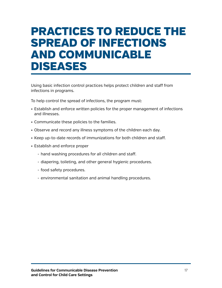# <span id="page-20-0"></span>PRACTICES TO REDUCE THE SPREAD OF INFECTIONS AND COMMUNICABLE DISEASES

Using basic infection control practices helps protect children and staff from infections in programs.

To help control the spread of infections, the program must:

- • Establish and enforce written policies for the proper management of infections and illnesses.
- • Communicate these policies to the families.
- Observe and record any illness symptoms of the children each day.
- Keep up-to-date records of immunizations for both children and staff.
- • Establish and enforce proper
	- hand washing procedures for all children and staff.
	- diapering, toileting, and other general hygienic procedures.
	- food safety procedures.
	- environmental sanitation and animal handling procedures.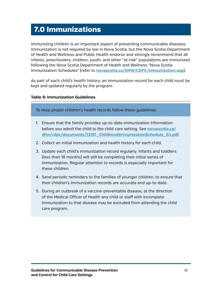# <span id="page-21-0"></span>7.0 Immunizations

Immunizing children is an important aspect of preventing communicable diseases. Immunization is not required by law in Nova Scotia, but the Nova Scotia Department of Health and Wellness and Public Health endorse and strongly recommend that all infants, preschoolers, children, youth, and other "at-risk" populations are immunized following the Nova Scotia Department of Health and Wellness "Nova Scotia Immunization Schedules" (refer to **[novascotia.ca/DHW/CDPC/immunization.asp](http://novascotia.ca/DHW/CDPC/immunization.asp)**).

As part of each child's health history, an immunization record for each child must be kept and updated regularly by the program.

#### **Table 9: Immunization Guidelines**

To keep proper children's health records follow these guidelines:

- 1. Ensure that the family provides up-to-date immunization information before you admit the child to the child care setting. See **[novascotia.ca/](http://novascotia.ca/dhw/cdpc/documents/13151_ChildhoodImmunizationSchedule_En.pdf) [dhw/cdpc/documents/13151\\_ChildhoodImmunizationSchedule\\_En.pdf](http://novascotia.ca/dhw/cdpc/documents/13151_ChildhoodImmunizationSchedule_En.pdf)**.
- 2. Collect an initial immunization and health history for each child.
- 3. Update each child's immunization record regularly. Infants and toddlers (less than 18 months) will still be completing their initial series of immunization. Regular attention to records is especially important for these children.
- 4. Send periodic reminders to the families of younger children, to ensure that their children's immunization records are accurate and up-to-date.
- 5. During an outbreak of a vaccine-preventable disease, at the direction of the Medical Officer of Health any child or staff with incomplete immunization to that disease may be excluded from attending the child care program.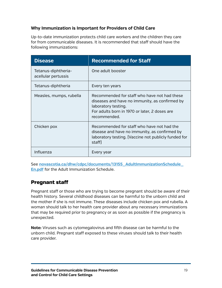## **Why Immunization is Important for Providers of Child Care**

Up-to-date immunization protects child care workers and the children they care for from communicable diseases. It is recommended that staff should have the following immunizations:

| <b>Disease</b>                             | <b>Recommended for Staff</b>                                                                                                                                                           |
|--------------------------------------------|----------------------------------------------------------------------------------------------------------------------------------------------------------------------------------------|
| Tetanus-diphtheria-<br>acellular pertussis | One adult booster                                                                                                                                                                      |
| Tetanus-diphtheria                         | Every ten years                                                                                                                                                                        |
| Measles, mumps, rubella                    | Recommended for staff who have not had these<br>diseases and have no immunity, as confirmed by<br>laboratory testing.<br>For adults born in 1970 or later, 2 doses are<br>recommended. |
| Chicken pox                                | Recommended for staff who have not had the<br>disease and have no immunity, as confirmed by<br>laboratory testing. [Vaccine not publicly funded for<br>staff)                          |
| Influenza                                  | Every year                                                                                                                                                                             |

See **[novascotia.ca/dhw/cdpc/documents/13155\\_AdultImmunizationSchedule\\_](http://novascotia.ca/dhw/cdpc/documents/13155_AdultImmunizationSchedule_En.pdf) [En.pdf](http://novascotia.ca/dhw/cdpc/documents/13155_AdultImmunizationSchedule_En.pdf)** for the Adult Immunization Schedule.

## Pregnant staff

Pregnant staff or those who are trying to become pregnant should be aware of their health history. Several childhood diseases can be harmful to the unborn child and the mother if she is not immune. These diseases include chicken pox and rubella. A woman should talk to her health care provider about any necessary immunizations that may be required prior to pregnancy or as soon as possible if the pregnancy is unexpected.

**Note:** Viruses such as cytomegalovirus and fifth disease can be harmful to the unborn child. Pregnant staff exposed to these viruses should talk to their health care provider.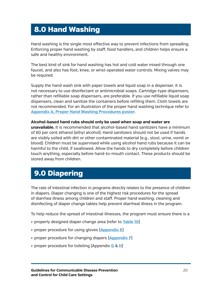# <span id="page-23-0"></span>8.0 Hand Washing

Hand washing is the single most effective way to prevent infections from spreading. Enforcing proper hand washing by staff, food handlers, and children helps ensure a safe and healthy environment.

The best kind of sink for hand washing has hot and cold water mixed through one faucet, and also has foot, knee, or wrist-operated water controls. Mixing valves may be required.

Supply the hand wash sink with paper towels and liquid soap in a dispenser. It is not necessary to use disinfectant or antimicrobial soaps. Cartridge-type dispensers, rather than refillable soap dispensers, are preferable. If you use refillable liquid soap dispensers, clean and sanitize the containers before refilling them. Cloth towels are not recommended. For an illustration of the proper hand washing technique refer to **[Appendix A, Proper Hand Washing Procedures poster](#page-42-1)**.

#### **Alcohol-based hand rubs should only be used when soap and water are**

**unavailable.** It is recommended that alcohol-based hand sanitizers have a minimum of 60 per cent ethanol (ethyl alcohol). Hand sanitizers should not be used if hands are visibly soiled with dirt or other contaminated material (e.g., stool, urine, vomit or blood). Children must be supervised while using alcohol hand rubs because it can be harmful to the child, if swallowed. Allow the hands to dry completely before children touch anything, especially before hand-to-mouth contact. These products should be stored away from children.

## <span id="page-23-1"></span>9.0 Diapering

The rate of intestinal infection in programs directly relates to the presence of children in diapers. Diaper changing is one of the highest risk procedures for the spread of diarrhea illness among children and staff. Proper hand washing, cleaning and disinfecting of diaper change tables help prevent diarrheal illness in the program.

To help reduce the spread of intestinal illnesses, the program must ensure there is a

- properly designed diaper change area (refer to **[Table 10](#page-24-1)**)
- • proper procedure for using gloves (**[Appendix](#page-46-1) E**)
- proper procedure for changing diapers [[Appendix F](#page-47-1)]
- • proper procedure for toileting (Appendix **[G](#page-48-1)** & **[H](#page-49-1)**)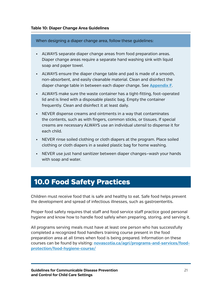<span id="page-24-1"></span>When designing a diaper change area, follow these guidelines:

- ALWAYS separate diaper change areas from food preparation areas. Diaper change areas require a separate hand washing sink with liquid soap and paper towel.
- • ALWAYS ensure the diaper change table and pad is made of a smooth, non-absorbent, and easily cleanable material. Clean and disinfect the diaper change table in between each diaper change. See **[Appendix F](#page-47-1)**.
- ALWAYS make sure the waste container has a tight-fitting, foot-operated lid and is lined with a disposable plastic bag. Empty the container frequently. Clean and disinfect it at least daily.
- NEVER dispense creams and ointments in a way that contaminates the contents, such as with fingers, common sticks, or tissues. If special creams are necessary ALWAYS use an individual utensil to dispense it for each child.
- • NEVER rinse soiled clothing or cloth diapers at the program. Place soiled clothing or cloth diapers in a sealed plastic bag for home washing.
- • NEVER use just hand sanitizer between diaper changes—wash your hands with soap and water.

## <span id="page-24-0"></span>10.0 Food Safety Practices

Children must receive food that is safe and healthy to eat. Safe food helps prevent the development and spread of infectious illnesses, such as gastroenteritis.

Proper food safety requires that staff and food service staff practice good personal hygiene and know how to handle food safely when preparing, storing, and serving it.

All programs serving meals must have at least one person who has successfully completed a recognized food handlers training course present in the food preparation area at all times when food is being prepared. Information on these courses can be found by visiting: **[novascotia.ca/agri/programs-and-services/food](http://www.novascotia.ca/agri/programs-and-services/food-protection/food-hygiene-course/)[protection/food-hygiene-course/](http://www.novascotia.ca/agri/programs-and-services/food-protection/food-hygiene-course/)**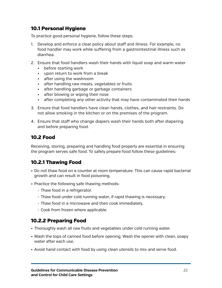## <span id="page-25-0"></span>10.1 Personal Hygiene

To practice good personal hygiene, follow these steps:

- 1. Develop and enforce a clear policy about staff and illness. For example, no food handler may work while suffering from a gastrointestinal illness such as diarrhea.
- 2. Ensure that food handlers wash their hands with liquid soap and warm water
	- • before starting work
	- • upon return to work from a break
	- • after using the washroom
	- • after handling raw meats, vegetables or fruits
	- • after handling garbage or garbage containers
	- after blowing or wiping their nose
	- after completing any other activity that may have contaminated their hands
- 3. Ensure that food handlers have clean hands, clothes, and hair restraints. Do not allow smoking in the kitchen or on the premises of the program.
- 4. Ensure that staff who change diapers wash their hands both after diapering and before preparing food.

## <span id="page-25-1"></span>10.2 Food

Receiving, storing, preparing and handling food properly are essential in ensuring the program serves safe food. To safely prepare food follow these guidelines:

## <span id="page-25-2"></span>10.2.1 Thawing Food

- • Do not thaw food on a counter at room temperature. This can cause rapid bacterial growth and can result in food poisoning.
- Practice the following safe thawing methods:
	- Thaw food in a refrigerator.
	- Thaw food under cold running water, if rapid thawing is necessary.
	- Thaw food in a microwave and then cook immediately.
	- Cook from frozen where applicable.

## <span id="page-25-3"></span>10.2.2 Preparing Food

- Thoroughly wash all raw fruits and vegetables under cold running water.
- Wash the tops of canned food before opening. Wash the opener with clean, soapy water after each use.
- • Avoid hand contact with food by using clean utensils to mix and serve food.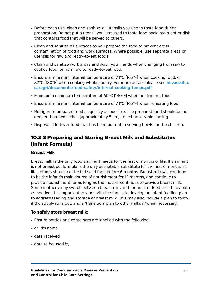- Before each use, clean and sanitize all utensils you use to taste food during preparation. Do not put a utensil you just used to taste food back into a pot or dish that contains food that will be served to others.
- • Clean and sanitize all surfaces as you prepare the food to prevent crosscontamination of food and work surfaces. Where possible, use separate areas or utensils for raw and ready-to-eat foods.
- • Clean and sanitize work areas and wash your hands when changing from raw to cooked food, or from raw to ready-to-eat food.
- Ensure a minimum internal temperature of  $74^{\circ}$ C (165 $^{\circ}$ F) when cooking food, or 82°C (180°F) when cooking whole poultry. For more details please see **[novascotia.](http://www.novascotia.ca/agri/documents/food-safety/internal-cooking-temps.pdf) [ca/agri/documents/food-safety/internal-cooking-temps.pdf](http://www.novascotia.ca/agri/documents/food-safety/internal-cooking-temps.pdf)**
- Maintain a minimum temperature of  $60^{\circ}C$  (140°F) when holding hot food.
- Ensure a minimum internal temperature of 74°C (165°F) when reheating food.
- Refrigerate prepared food as quickly as possible. The prepared food should be no deeper than two inches (approximately 5 cm), to enhance rapid cooling.
- • Dispose of leftover food that has been put out in serving bowls for the children.

## <span id="page-26-0"></span>10.2.3 Preparing and Storing Breast Milk and Substitutes (Infant Formula)

## **Breast Milk**

Breast milk is the only food an infant needs for the first 6 months of life. If an infant is not breastfed, formula is the only acceptable substitute for the first 6 months of life. Infants should not be fed solid food before 6 months. Breast milk will continue to be the infant's main source of nourishment for 12 months, and continue to provide nourishment for as long as the mother continues to provide breast milk. Some mothers may switch between breast milk and formula, or feed their baby both as needed. It is important to work with the family to develop an infant feeding plan to address feeding and storage of breast milk. This may also include a plan to follow if the supply runs out, and a 'transition' plan to other milks if/when necessary.

## **To safely store breast milk:**

- Ensure bottles and containers are labelled with the following:
- • child's name
- • date received
- • date to be used by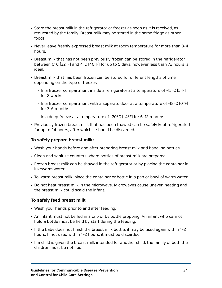- Store the breast milk in the refrigerator or freezer as soon as it is received, as requested by the family. Breast milk may be stored in the same fridge as other foods.
- • Never leave freshly expressed breast milk at room temperature for more than 3-4 hours.
- • Breast milk that has not been previously frozen can be stored in the refrigerator between 0°C (32°F) and 4°C (40°F) for up to 5 days, however less than 72 hours is ideal.
- • Breast milk that has been frozen can be stored for different lengths of time depending on the type of freezer.
	- In a freezer compartment inside a refrigerator at a temperature of -15°C (5°F) for 2 weeks
	- In a freezer compartment with a separate door at a temperature of -18°C (0°F) for 3-6 months
	- In a deep freeze at a temperature of -20°C (-4°F) for 6–12 months
- Previously frozen breast milk that has been thawed can be safely kept refrigerated for up to 24 hours, after which it should be discarded.

## **To safely prepare breast milk:**

- Wash your hands before and after preparing breast milk and handling bottles.
- Clean and sanitize counters where bottles of breast milk are prepared.
- Frozen breast milk can be thawed in the refrigerator or by placing the container in lukewarm water.
- To warm breast milk, place the container or bottle in a pan or bowl of warm water.
- Do not heat breast milk in the microwave. Microwaves cause uneven heating and the breast milk could scald the infant.

## **To safely feed breast milk:**

- Wash your hands prior to and after feeding.
- An infant must not be fed in a crib or by bottle propping. An infant who cannot hold a bottle must be held by staff during the feeding.
- If the baby does not finish the breast milk bottle, it may be used again within 1-2 hours. If not used within 1–2 hours, it must be discarded.
- • If a child is given the breast milk intended for another child, the family of both the children must be notified.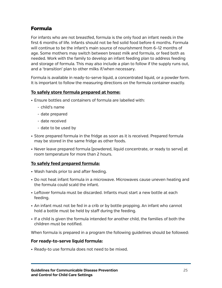## Formula

For infants who are not breastfed, formula is the only food an infant needs in the first 6 months of life. Infants should not be fed solid food before 6 months. Formula will continue to be the infant's main source of nourishment from 6–12 months of age. Some mothers may switch between breast milk and formula, or feed both as needed. Work with the family to develop an infant feeding plan to address feeding and storage of formula. This may also include a plan to follow if the supply runs out, and a 'transition' plan to other milks if/when necessary.

Formula is available in ready-to-serve liquid, a concentrated liquid, or a powder form. It is important to follow the measuring directions on the formula container exactly.

## **To safely store formula prepared at home:**

- Ensure bottles and containers of formula are labelled with:
	- child's name
	- date prepared
	- date received
	- date to be used by
- Store prepared formula in the fridge as soon as it is received. Prepared formula may be stored in the same fridge as other foods.
- • Never leave prepared formula (powdered, liquid concentrate, or ready to serve) at room temperature for more than 2 hours.

## **To safely feed prepared formula:**

- Wash hands prior to and after feeding.
- Do not heat infant formula in a microwave. Microwaves cause uneven heating and the formula could scald the infant.
- Leftover formula must be discarded. Infants must start a new bottle at each feeding.
- An infant must not be fed in a crib or by bottle propping. An infant who cannot hold a bottle must be held by staff during the feeding.
- If a child is given the formula intended for another child, the families of both the children must be notified.

When formula is prepared in a program the following guidelines should be followed:

### **For ready-to-serve liquid formula:**

• Ready-to use formula does not need to be mixed.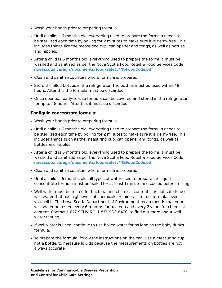- • Wash your hands prior to preparing formula.
- Until a child is 6 months old, everything used to prepare the formula needs to be sterilized each time by boiling for 2 minutes to make sure it is germ-free. This includes things like the measuring cup, can opener and tongs, as well as bottles and nipples.
- • After a child is 6 months old, everything used to prepare the formula must be washed and sanitized as per the Nova Scotia Food Retail & Food Services Code **[novascotia.ca/agri/documents/food-safety/NSFoodCode.pdf](http://www.novascotia.ca/agri/documents/food-safety/NSFoodCode.pdf)**
- • Clean and sanitize counters where formula is prepared.
- Store the filled bottles in the refrigerator. The bottles must be used within 48 hours. After this the formula must be discarded.
- • Once opened, ready-to-use formula can be covered and stored in the refrigerator for up to 48 hours. After this it must be discarded.

## **For liquid concentrate formula:**

- Wash your hands prior to preparing formula.
- • Until a child is 6 months old, everything used to prepare the formula needs to be sterilized each time by boiling for 2 minutes to make sure it is germ-free. This includes things such as the measuring cup, can opener and tongs, as well as bottles and nipples.
- • After a child is 6 months old, everything used to prepare the formula must be washed and sanitized as per the Nova Scotia Food Retail & Food Services Code **[novascotia.ca/agri/documents/food-safety/NSFoodCode.pdf](http://www.novascotia.ca/agri/documents/food-safety/NSFoodCode.pdf)**
- Clean and sanitize counters where formula is prepared.
- • Until a child is 6 months old, all types of water used to prepare the liquid concentrate formula must be boiled for at least 1 minute and cooled before mixing.
- • Well water must be tested for bacteria and chemical content. It is not safe to use well water that has high levels of chemicals or minerals to mix formula, even if you boil it. The Nova Scotia Department of Environment recommends that your well water be tested every 6 months for bacteria and every 2 years for chemical content. Contact 1-877-9ENVIRO (1-877-936-8476) to find out more about well water testing.
- If well water is used, continue to use boiled water for as long as the baby drinks formula.
- To prepare the formula, follow the instructions on the can. Use a measuring cup, not a bottle, to measure liquids because the measurements on bottles are not always accurate.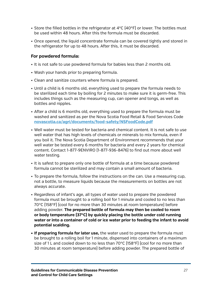- Store the filled bottles in the refrigerator at  $4^{\circ}C$  (40°F) or lower. The bottles must be used within 48 hours. After this the formula must be discarded.
- • Once opened, the liquid concentrate formula can be covered tightly and stored in the refrigerator for up to 48 hours. After this, it must be discarded.

### **For powdered formula:**

- • It is not safe to use powdered formula for babies less than 2 months old.
- Wash your hands prior to preparing formula.
- Clean and sanitize counters where formula is prepared.
- • Until a child is 6 months old, everything used to prepare the formula needs to be sterilized each time by boiling for 2 minutes to make sure it is germ-free. This includes things such as the measuring cup, can opener and tongs, as well as bottles and nipples.
- • After a child is 6 months old, everything used to prepare the formula must be washed and sanitized as per the Nova Scotia Food Retail & Food Services Code **[novascotia.ca/agri/documents/food-safety/NSFoodCode.pdf](http://novascotia.ca/agri/documents/food-safety/NSFoodCode.pdf)**
- • Well water must be tested for bacteria and chemical content. It is not safe to use well water that has high levels of chemicals or minerals to mix formula, even if you boil it. The Nova Scotia Department of Environment recommends that your well water be tested every 6 months for bacteria and every 2 years for chemical content. Contact 1-877-9ENVIRO (1-877-936-8476) to find out more about well water testing.
- It is safest to prepare only one bottle of formula at a time because powdered formula cannot be sterilized and may contain a small amount of bacteria.
- • To prepare the formula, follow the instructions on the can. Use a measuring cup, not a bottle, to measure liquids because the measurements on bottles are not always accurate.
- • Regardless of infant's age, all types of water used to prepare the powdered formula must be brought to a rolling boil for 1 minute and cooled to no less than 70°C (158°F) (cool for no more than 30 minutes at room temperature) before adding powder. **The prepared bottle of formula may then be cooled to room or body temperature (37°C) by quickly placing the bottle under cold running water or into a container of cold or ice water prior to feeding the infant to avoid potential scalding.**
- **• If preparing formula for later use,** the water used to prepare the formula must be brought to a rolling boil for 1 minute, dispensed into containers of a maximum size of 1 L and cooled down to no less than 70 $\degree$ C (158 $\degree$ F) (cool for no more than 30 minutes at room temperature) before adding powder. The prepared bottle of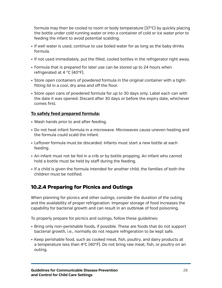formula may then be cooled to room or body temperature (37°C) by quickly placing the bottle under cold running water or into a container of cold or ice water prior to feeding the infant to avoid potential scalding.

- If well water is used, continue to use boiled water for as long as the baby drinks formula.
- • If not used immediately, put the filled, cooled bottles in the refrigerator right away.
- Formula that is prepared for later use can be stored up to 24 hours when refrigerated at 4 °C (40°F).
- Store open containers of powdered formula in the original container with a tightfitting lid in a cool, dry area and off the floor.
- Store open cans of powdered formula for up to 30 days only. Label each can with the date it was opened. Discard after 30 days or before the expiry date, whichever comes first.

## **To safely feed prepared formula:**

- • Wash hands prior to and after feeding.
- Do not heat infant formula in a microwave. Microwaves cause uneven heating and the formula could scald the infant.
- Leftover formula must be discarded. Infants must start a new bottle at each feeding.
- An infant must not be fed in a crib or by bottle propping. An infant who cannot hold a bottle must be held by staff during the feeding.
- • If a child is given the formula intended for another child, the families of both the children must be notified.

## <span id="page-31-0"></span>10.2.4 Preparing for Picnics and Outings

When planning for picnics and other outings, consider the duration of the outing and the availability of proper refrigeration. Improper storage of food increases the capability for bacterial growth and can result in an outbreak of food poisoning.

To properly prepare for picnics and outings, follow these guidelines:

- • Bring only non-perishable foods, if possible. These are foods that do not support bacterial growth, i.e., normally do not require refrigeration to be kept safe.
- • Keep perishable food, such as cooked meat, fish, poultry, and dairy products at a temperature less than  $4^{\circ}C$  [40°F]. Do not bring raw meat, fish, or poultry on an outing.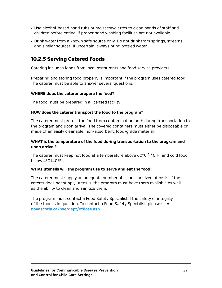- • Use alcohol-based hand rubs or moist towelettes to clean hands of staff and children before eating, if proper hand washing facilities are not available.
- Drink water from a known safe source only. Do not drink from springs, streams, and similar sources. If uncertain, always bring bottled water.

## <span id="page-32-0"></span>10.2.5 Serving Catered Foods

Catering includes foods from local restaurants and food service providers.

Preparing and storing food properly is important if the program uses catered food. The caterer must be able to answer several questions:

#### **WHERE does the caterer prepare the food?**

The food must be prepared in a licensed facility.

#### **HOW does the caterer transport the food to the program?**

The caterer must protect the food from contamination both during transportation to the program and upon arrival. The covered containers must either be disposable or made of an easily cleanable, non-absorbent, food-grade material.

### **WHAT is the temperature of the food during transportation to the program and upon arrival?**

The caterer must keep hot food at a temperature above 60°C (140°F) and cold food below 4°C (40°F).

### **WHAT utensils will the program use to serve and eat the food?**

The caterer must supply an adequate number of clean, sanitized utensils. If the caterer does not supply utensils, the program must have them available as well as the ability to clean and sanitize them.

The program must contact a Food Safety Specialist if the safety or integrity of the food is in question. To contact a Food Safety Specialist, please see: **[novascotia.ca/nse/dept/offices.asp](http://novascotia.ca/nse/dept/offices.asp)**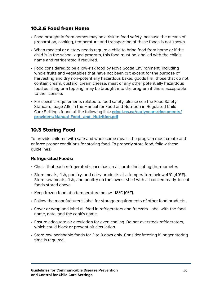## <span id="page-33-0"></span>10.2.6 Food from Home

- • Food brought in from homes may be a risk to food safety, because the means of preparation, cooking, temperature and transporting of these foods is not known.
- When medical or dietary needs require a child to bring food from home or if the child is in the school-aged program, this food must be labelled with the child's name and refrigerated if required.
- Food considered to be a low-risk food by Nova Scotia Environment, including whole fruits and vegetables that have not been cut except for the purpose of harvesting and dry non-potentially hazardous baked goods (i.e., those that do not contain cream, custard, cream cheese, meat or any other potentially hazardous food as filling or a topping) may be brought into the program if this is acceptable to the licensee.
- For specific requirements related to food safety, please see the Food Safety Standard, page A15, in the Manual for Food and Nutrition in Regulated Child Care Settings found at the following link: **[ednet.ns.ca/earlyyears/documents/](http://ednet.ns.ca/earlyyears/documents/providers/Manual-Food_and_Nutrition.pdf) [providers/Manual-Food\\_and\\_Nutrition.pdf](http://ednet.ns.ca/earlyyears/documents/providers/Manual-Food_and_Nutrition.pdf)**

## <span id="page-33-1"></span>10.3 Storing Food

To provide children with safe and wholesome meals, the program must create and enforce proper conditions for storing food. To properly store food, follow these guidelines:

## **Refrigerated Foods:**

- • Check that each refrigerated space has an accurate indicating thermometer.
- Store meats, fish, poultry, and dairy products at a temperature below  $4^{\circ}C$  [40 $^{\circ}F$ ]. Store raw meats, fish, and poultry on the lowest shelf with all cooked ready-to-eat foods stored above.
- Keep frozen food at a temperature below -18°C [0°F].
- • Follow the manufacturer's label for storage requirements of other food products.
- • Cover or wrap and label all food in refrigerators and freezers—label with the food name, date, and the cook's name.
- Ensure adequate air circulation for even cooling. Do not overstock refrigerators, which could block or prevent air circulation.
- Store raw perishable foods for 2 to 3 days only. Consider freezing if longer storing time is required.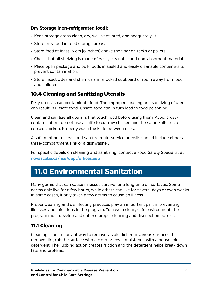## **Dry Storage (non-refrigerated food):**

- Keep storage areas clean, dry, well-ventilated, and adequately lit.
- Store only food in food storage areas.
- Store food at least 15 cm [6 inches] above the floor on racks or pallets.
- Check that all shelving is made of easily cleanable and non-absorbent material.
- • Place open package and bulk foods in sealed and easily cleanable containers to prevent contamination.
- • Store insecticides and chemicals in a locked cupboard or room away from food and children.

## <span id="page-34-0"></span>10.4 Cleaning and Sanitizing Utensils

Dirty utensils can contaminate food. The improper cleaning and sanitizing of utensils can result in unsafe food. Unsafe food can in turn lead to food poisoning.

Clean and sanitize all utensils that touch food before using them. Avoid crosscontamination—do not use a knife to cut raw chicken and the same knife to cut cooked chicken. Properly wash the knife between uses.

A safe method to clean and sanitize multi-service utensils should include either a three-compartment sink or a dishwasher.

For specific details on cleaning and sanitizing, contact a Food Safety Specialist at **[novascotia.ca/nse/dept/offices.asp](http://novascotia.ca/nse/dept/offices.asp)**

# <span id="page-34-1"></span>11.0 Environmental Sanitation

Many germs that can cause illnesses survive for a long time on surfaces. Some germs only live for a few hours, while others can live for several days or even weeks. In some cases, it only takes a few germs to cause an illness.

Proper cleaning and disinfecting practices play an important part in preventing illnesses and infections in the program. To have a clean, safe environment, the program must develop and enforce proper cleaning and disinfection policies.

## <span id="page-34-2"></span>11.1 Cleaning

Cleaning is an important way to remove visible dirt from various surfaces. To remove dirt, rub the surface with a cloth or towel moistened with a household detergent. The rubbing action creates friction and the detergent helps break down fats and proteins.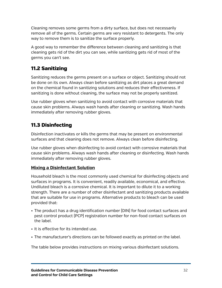Cleaning removes some germs from a dirty surface, but does not necessarily remove all of the germs. Certain germs are very resistant to detergents. The only way to remove them is to sanitize the surface properly.

A good way to remember the difference between cleaning and sanitizing is that cleaning gets rid of the dirt you can see, while sanitizing gets rid of most of the germs you can't see.

## <span id="page-35-0"></span>11.2 Sanitizing

Sanitizing reduces the germs present on a surface or object. Sanitizing should not be done on its own. Always clean before sanitizing as dirt places a great demand on the chemical found in sanitizing solutions and reduces their effectiveness. If sanitizing is done without cleaning, the surface may not be properly sanitized.

Use rubber gloves when sanitizing to avoid contact with corrosive materials that cause skin problems. Always wash hands after cleaning or sanitizing. Wash hands immediately after removing rubber gloves.

## <span id="page-35-1"></span>11.3 Disinfecting

Disinfection inactivates or kills the germs that may be present on environmental surfaces and that cleaning does not remove. Always clean before disinfecting.

Use rubber gloves when disinfecting to avoid contact with corrosive materials that cause skin problems. Always wash hands after cleaning or disinfecting. Wash hands immediately after removing rubber gloves.

## **Mixing a Disinfectant Solution**

Household bleach is the most commonly used chemical for disinfecting objects and surfaces in programs. It is convenient, readily available, economical, and effective. Undiluted bleach is a corrosive chemical. It is important to dilute it to a working strength. There are a number of other disinfectant and sanitizing products available that are suitable for use in programs. Alternative products to bleach can be used provided that:

- The product has a drug identification number (DIN) for food contact surfaces and pest control product (PCP) registration number for non-food contact surfaces on the label.
- It is effective for its intended use.
- The manufacturer's directions can be followed exactly as printed on the label.

The table below provides instructions on mixing various disinfectant solutions.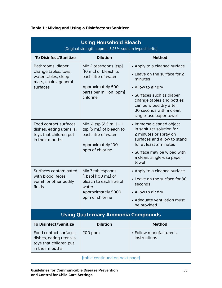<span id="page-36-0"></span>

| Table 11: Mixing and Using a Disinfectant/Sanitizer |  |
|-----------------------------------------------------|--|
|-----------------------------------------------------|--|

| <b>Using Household Bleach</b><br>[Original strength approx. 5.25% sodium hypochlorite]                |                                                                                                                                  |                                                                                                                                                                                                                                         |  |  |
|-------------------------------------------------------------------------------------------------------|----------------------------------------------------------------------------------------------------------------------------------|-----------------------------------------------------------------------------------------------------------------------------------------------------------------------------------------------------------------------------------------|--|--|
| <b>To Disinfect/Sanitize</b>                                                                          | <b>Dilution</b>                                                                                                                  | <b>Method</b>                                                                                                                                                                                                                           |  |  |
| Bathrooms, diaper<br>change tables, toys,<br>water tables, sleep<br>mats, chairs, general<br>surfaces | Mix 2 teaspoons (tsp)<br>[10 mL] of bleach to<br>each litre of water<br>Approximately 500<br>parts per million (ppm)<br>chlorine | • Apply to a cleaned surface<br>• Leave on the surface for 2<br>minutes<br>• Allow to air dry<br>• Surfaces such as diaper<br>change tables and potties<br>can be wiped dry after<br>30 seconds with a clean,<br>single-use paper towel |  |  |
| Food contact surfaces,<br>dishes, eating utensils,<br>toys that children put<br>in their mouths       | Mix $\frac{1}{2}$ tsp $[2.5$ mL $]-1$<br>tsp [5 mL] of bleach to<br>each litre of water<br>Approximately 100<br>ppm of chlorine  | • Immerse cleaned object<br>in sanitizer solution for<br>2 minutes or spray on<br>surfaces and allow to stand<br>for at least 2 minutes<br>• Surface may be wiped with<br>a clean, single-use paper<br>towel                            |  |  |
| Surfaces contaminated<br>with blood, feces,<br>vomit, or other bodily<br>fluids                       | Mix 7 tablespoons<br>[Tbsp] [100 mL] of<br>bleach to each litre of<br>water<br>Approximately 5000<br>ppm of chlorine             | • Apply to a cleaned surface<br>• Leave on the surface for 30<br>seconds<br>• Allow to air dry<br>• Adequate ventilation must<br>be provided                                                                                            |  |  |
| <b>Using Quaternary Ammonia Compounds</b>                                                             |                                                                                                                                  |                                                                                                                                                                                                                                         |  |  |
| <b>To Disinfect/Sanitize</b>                                                                          | <b>Dilution</b>                                                                                                                  | <b>Method</b>                                                                                                                                                                                                                           |  |  |
| Food contact surfaces,<br>dishes, eating utensils,<br>toys that children put<br>in their mouths       | $200$ ppm                                                                                                                        | • Follow manufacturer's<br>instructions                                                                                                                                                                                                 |  |  |

(table continued on next page)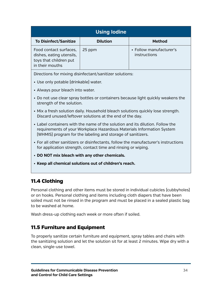| <b>Using lodine</b>                                                                             |                 |                                         |  |  |
|-------------------------------------------------------------------------------------------------|-----------------|-----------------------------------------|--|--|
| <b>To Disinfect/Sanitize</b>                                                                    | <b>Dilution</b> | <b>Method</b>                           |  |  |
| Food contact surfaces,<br>dishes, eating utensils,<br>toys that children put<br>in their mouths | 25 ppm          | • Follow manufacturer's<br>instructions |  |  |

Directions for mixing disinfectant/sanitizer solutions:

- Use only potable (drinkable) water.
- Always pour bleach into water.
- Do not use clear spray bottles or containers because light quickly weakens the strength of the solution.
- • Mix a fresh solution daily. Household bleach solutions quickly lose strength. Discard unused/leftover solutions at the end of the day.
- • Label containers with the name of the solution and its dilution. Follow the requirements of your Workplace Hazardous Materials Information System (WHMIS) program for the labeling and storage of sanitizers.
- • For all other sanitizers or disinfectants, follow the manufacturer's instructions for application strength, contact time and rinsing or wiping.
- • **DO NOT mix bleach with any other chemicals.**
- • **Keep all chemical solutions out of children's reach.**

## <span id="page-37-0"></span>11.4 Clothing

Personal clothing and other items must be stored in individual cubicles (cubbyholes) or on hooks. Personal clothing and items including cloth diapers that have been soiled must not be rinsed in the program and must be placed in a sealed plastic bag to be washed at home.

Wash dress-up clothing each week or more often if soiled.

## <span id="page-37-1"></span>11.5 Furniture and Equipment

To properly sanitize certain furniture and equipment, spray tables and chairs with the sanitizing solution and let the solution sit for at least 2 minutes. Wipe dry with a clean, single-use towel.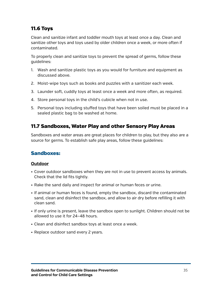## <span id="page-38-0"></span>11.6 Toys

Clean and sanitize infant and toddler mouth toys at least once a day. Clean and sanitize other toys and toys used by older children once a week, or more often if contaminated.

To properly clean and sanitize toys to prevent the spread of germs, follow these guidelines:

- 1. Wash and sanitize plastic toys as you would for furniture and equipment as discussed above.
- 2. Moist-wipe toys such as books and puzzles with a sanitizer each week.
- 3. Launder soft, cuddly toys at least once a week and more often, as required.
- 4. Store personal toys in the child's cubicle when not in use.
- 5. Personal toys including stuffed toys that have been soiled must be placed in a sealed plastic bag to be washed at home.

## <span id="page-38-1"></span>11.7 Sandboxes, Water Play and other Sensory Play Areas

Sandboxes and water areas are great places for children to play, but they also are a source for germs. To establish safe play areas, follow these guidelines:

## Sandboxes:

### **Outdoor**

- Cover outdoor sandboxes when they are not in use to prevent access by animals. Check that the lid fits tightly.
- Rake the sand daily and inspect for animal or human feces or urine.
- • If animal or human feces is found, empty the sandbox, discard the contaminated sand, clean and disinfect the sandbox, and allow to air dry before refilling it with clean sand.
- If only urine is present, leave the sandbox open to sunlight. Children should not be allowed to use it for 24–48 hours.
- Clean and disinfect sandbox toys at least once a week.
- Replace outdoor sand every 2 years.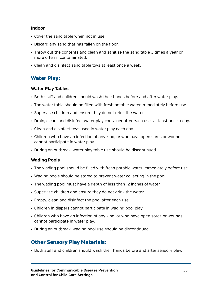#### **Indoor**

- Cover the sand table when not in use.
- Discard any sand that has fallen on the floor.
- • Throw out the contents and clean and sanitize the sand table 3 times a year or more often if contaminated.
- Clean and disinfect sand table toys at least once a week.

## Water Play:

### **Water Play Tables**

- • Both staff and children should wash their hands before and after water play.
- The water table should be filled with fresh potable water immediately before use.
- Supervise children and ensure they do not drink the water.
- Drain, clean, and disinfect water play container after each use–at least once a day.
- Clean and disinfect toys used in water play each day.
- • Children who have an infection of any kind, or who have open sores or wounds, cannot participate in water play.
- During an outbreak, water play table use should be discontinued.

## **Wading Pools**

- The wading pool should be filled with fresh potable water immediately before use.
- Wading pools should be stored to prevent water collecting in the pool.
- The wading pool must have a depth of less than 12 inches of water.
- Supervise children and ensure they do not drink the water.
- Empty, clean and disinfect the pool after each use.
- Children in diapers cannot participate in wading pool play.
- Children who have an infection of any kind, or who have open sores or wounds, cannot participate in water play.
- During an outbreak, wading pool use should be discontinued.

## Other Sensory Play Materials:

• Both staff and children should wash their hands before and after sensory play.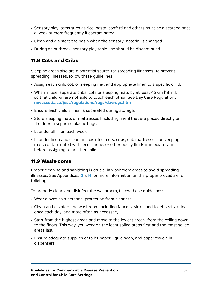- Sensory play items such as rice, pasta, confetti and others must be discarded once a week or more frequently if contaminated.
- Clean and disinfect the basin when the sensory material is changed.
- During an outbreak, sensory play table use should be discontinued.

## <span id="page-40-0"></span>11.8 Cots and Cribs

Sleeping areas also are a potential source for spreading illnesses. To prevent spreading illnesses, follow these guidelines:

- Assign each crib, cot, or sleeping mat and appropriate linen to a specific child.
- When in use, separate cribs, cots or sleeping mats by at least 46 cm (18 in.), so that children are not able to touch each other. See Day Care Regulations **[novascotia.ca/just/regulations/regs/dayregs.htm](http://www.novascotia.ca/just/regulations/regs/dayregs.htm)**
- Ensure each child's linen is separated during storage.
- • Store sleeping mats or mattresses (including linen) that are placed directly on the floor in separate plastic bags.
- Launder all linen each week.
- Launder linen and clean and disinfect cots, cribs, crib mattresses, or sleeping mats contaminated with feces, urine, or other bodily fluids immediately and before assigning to another child.

## <span id="page-40-1"></span>11.9 Washrooms

Proper cleaning and sanitizing is crucial in washroom areas to avoid spreading illnesses. See Appendices **[G](#page-48-1)** & **[H](#page-49-1)** for more information on the proper procedure for toileting.

To properly clean and disinfect the washroom, follow these guidelines:

- Wear gloves as a personal protection from cleaners.
- • Clean and disinfect the washroom including faucets, sinks, and toilet seats at least once each day, and more often as necessary.
- Start from the highest areas and move to the lowest areas-from the ceiling down to the floors. This way, you work on the least soiled areas first and the most soiled areas last.
- Ensure adequate supplies of toilet paper, liquid soap, and paper towels in dispensers.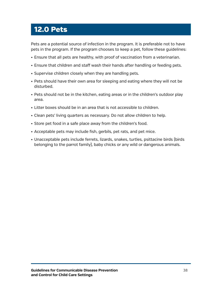# <span id="page-41-0"></span>12.0 Pets

Pets are a potential source of infection in the program. It is preferable not to have pets in the program. If the program chooses to keep a pet, follow these guidelines:

- • Ensure that all pets are healthy, with proof of vaccination from a veterinarian.
- • Ensure that children and staff wash their hands after handling or feeding pets.
- Supervise children closely when they are handling pets.
- Pets should have their own area for sleeping and eating where they will not be disturbed.
- Pets should not be in the kitchen, eating areas or in the children's outdoor play area.
- • Litter boxes should be in an area that is not accessible to children.
- Clean pets' living quarters as necessary. Do not allow children to help.
- Store pet food in a safe place away from the children's food.
- Acceptable pets may include fish, gerbils, pet rats, and pet mice.
- Unacceptable pets include ferrets, lizards, snakes, turtles, psittacine birds (birds belonging to the parrot family), baby chicks or any wild or dangerous animals.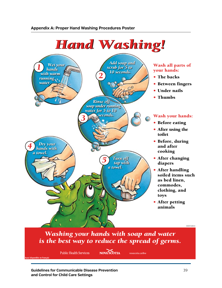<span id="page-42-1"></span><span id="page-42-0"></span>

**Guidelines for Communicable Disease Prevention** 39 **and Control for Child Care Settings**

**Aussi disponible en français**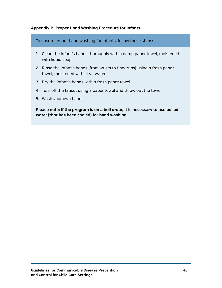#### <span id="page-43-0"></span>**Appendix B: Proper Hand Washing Procedure for Infants**

To ensure proper hand washing for infants, follow these steps:

- 1. Clean the infant's hands thoroughly with a damp paper towel, moistened with liquid soap.
- 2. Rinse the infant's hands (from wrists to fingertips) using a fresh paper towel, moistened with clear water.
- 3. Dry the infant's hands with a fresh paper towel.
- 4. Turn off the faucet using a paper towel and throw out the towel.
- 5. Wash your own hands.

**Please note: If the program is on a boil order, it is necessary to use boiled water (that has been cooled) for hand washing.**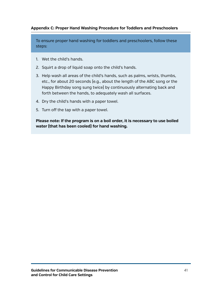### <span id="page-44-0"></span>**Appendix C: Proper Hand Washing Procedure for Toddlers and Preschoolers**

To ensure proper hand washing for toddlers and preschoolers, follow these steps:

- 1. Wet the child's hands.
- 2. Squirt a drop of liquid soap onto the child's hands.
- 3. Help wash all areas of the child's hands, such as palms, wrists, thumbs, etc., for about 20 seconds (e.g., about the length of the ABC song or the Happy Birthday song sung twice) by continuously alternating back and forth between the hands, to adequately wash all surfaces.
- 4. Dry the child's hands with a paper towel.
- 5. Turn off the tap with a paper towel.

**Please note: If the program is on a boil order, it is necessary to use boiled water (that has been cooled) for hand washing.**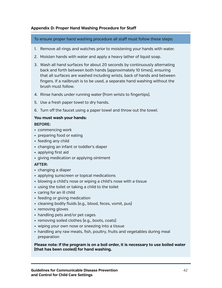#### <span id="page-45-0"></span>**Appendix D: Proper Hand Washing Procedure for Staff**

To ensure proper hand washing procedure all staff must follow these steps:

- 1. Remove all rings and watches prior to moistening your hands with water.
- 2. Moisten hands with water and apply a heavy lather of liquid soap.
- 3. Wash all hand surfaces for about 20 seconds by continuously alternating back and forth between both hands (approximately 10 times), ensuring that all surfaces are washed including wrists, back of hands and between fingers. If a nailbrush is to be used, a separate hand washing without the brush must follow.
- 4. Rinse hands under running water (from wrists to fingertips).
- 5. Use a fresh paper towel to dry hands.
- 6. Turn off the faucet using a paper towel and throw out the towel.

#### **You must wash your hands:**

#### **BEFORE:**

- • commencing work
- preparing food or eating
- feeding any child
- changing an infant or toddler's diaper
- • applying first aid
- • giving medication or applying ointment

### **AFTER:**

- • changing a diaper
- applying sunscreen or topical medications
- blowing a child's nose or wiping a child's nose with a tissue
- using the toilet or taking a child to the toilet
- caring for an ill child
- feeding or giving medication
- cleaning bodily fluids (e.g., blood, feces, vomit, pus)
- removing gloves
- handling pets and/or pet cages
- removing soiled clothes [e.g., boots, coats]
- wiping your own nose or sneezing into a tissue
- • handling any raw meats, fish, poultry, fruits and vegetables during meal preparation

**Please note: If the program is on a boil order, it is necessary to use boiled water (that has been cooled) for hand washing.**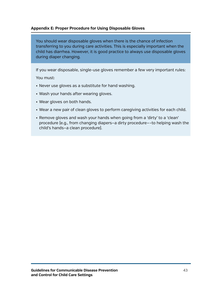#### <span id="page-46-1"></span><span id="page-46-0"></span>**Appendix E: Proper Procedure for Using Disposable Gloves**

You should wear disposable gloves when there is the chance of infection transferring to you during care activities. This is especially important when the child has diarrhea. However, it is good practice to always use disposable gloves during diaper changing.

If you wear disposable, single-use gloves remember a few very important rules: You must:

- Never use gloves as a substitute for hand washing.
- Wash your hands after wearing gloves.
- • Wear gloves on both hands.
- Wear a new pair of clean gloves to perform caregiving activities for each child.
- Remove gloves and wash your hands when going from a 'dirty' to a 'clean' procedure (e.g., from changing diapers—a dirty procedure—–to helping wash the child's hands—a clean procedure).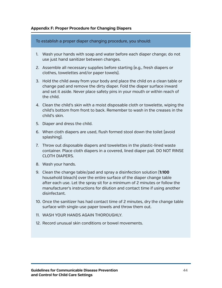#### <span id="page-47-1"></span><span id="page-47-0"></span>**Appendix F: Proper Procedure for Changing Diapers**

To establish a proper diaper changing procedure, you should:

- 1. Wash your hands with soap and water before each diaper change; do not use just hand sanitizer between changes.
- 2. Assemble all necessary supplies before starting (e.g., fresh diapers or clothes, towelettes and/or paper towels).
- 3. Hold the child away from your body and place the child on a clean table or change pad and remove the dirty diaper. Fold the diaper surface inward and set it aside. Never place safety pins in your mouth or within reach of the child.
- 4. Clean the child's skin with a moist disposable cloth or towelette, wiping the child's bottom from front to back. Remember to wash in the creases in the child's skin.
- 5. Diaper and dress the child.
- 6. When cloth diapers are used, flush formed stool down the toilet (avoid splashing).
- 7. Throw out disposable diapers and towelettes in the plastic-lined waste container. Place cloth diapers in a covered, lined diaper pail. DO NOT RINSE CLOTH DIAPERS.
- 8. Wash your hands.
- 9. Clean the change table/pad and spray a disinfection solution (**1:100** household bleach) over the entire surface of the diaper change table after each use. Let the spray sit for a minimum of 2 minutes or follow the manufacturer's instructions for dilution and contact time if using another disinfectant.
- 10. Once the sanitizer has had contact time of 2 minutes, dry the change table surface with single-use paper towels and throw them out.
- 11. WASH YOUR HANDS AGAIN THOROUGHLY.
- 12. Record unusual skin conditions or bowel movements.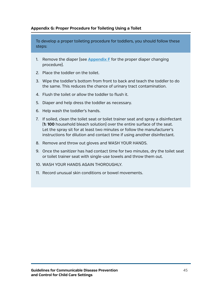#### <span id="page-48-1"></span><span id="page-48-0"></span>**Appendix G: Proper Procedure for Toileting Using a Toilet**

To develop a proper toileting procedure for toddlers, you should follow these steps:

- 1. Remove the diaper (see **[Appendix](#page-47-1) F** for the proper diaper changing procedure).
- 2. Place the toddler on the toilet.
- 3. Wipe the toddler's bottom from front to back and teach the toddler to do the same. This reduces the chance of urinary tract contamination.
- 4. Flush the toilet or allow the toddler to flush it.
- 5. Diaper and help dress the toddler as necessary.
- 6. Help wash the toddler's hands.
- 7. If soiled, clean the toilet seat or toilet trainer seat and spray a disinfectant (**1: 100** household bleach solution) over the entire surface of the seat. Let the spray sit for at least two minutes or follow the manufacturer's instructions for dilution and contact time if using another disinfectant.
- 8. Remove and throw out gloves and WASH YOUR HANDS.
- 9. Once the sanitizer has had contact time for two minutes, dry the toilet seat or toilet trainer seat with single-use towels and throw them out.
- 10. WASH YOUR HANDS AGAIN THOROUGHLY.
- 11. Record unusual skin conditions or bowel movements.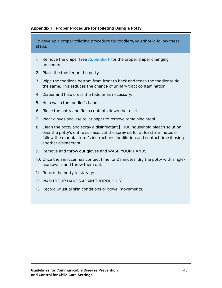#### <span id="page-49-1"></span><span id="page-49-0"></span>**Appendix H: Proper Procedure for Toileting Using a Potty**

To develop a proper toileting procedure for toddlers, you should follow these steps:

- 1. Remove the diaper (see **[Appendix](#page-47-1) F** for the proper diaper changing procedure).
- 2. Place the toddler on the potty.
- 3. Wipe the toddler's bottom from front to back and teach the toddler to do the same. This reduces the chance of urinary tract contamination.
- 4. Diaper and help dress the toddler as necessary.
- 5. Help wash the toddler's hands.
- 6. Rinse the potty and flush contents down the toilet.
- 7. Wear gloves and use toilet paper to remove remaining stool.
- 8. Clean the potty and spray a disinfectant (1: 100 household bleach solution) over the potty's entire surface. Let the spray sit for at least 2 minutes or follow the manufacturer's instructions for dilution and contact time if using another disinfectant.
- 9. Remove and throw out gloves and WASH YOUR HANDS.
- 10. Once the sanitizer has contact time for 2 minutes, dry the potty with singleuse towels and throw them out.
- 11. Return the potty to storage.
- 12. WASH YOUR HANDS AGAIN THOROUGHLY.
- 13. Record unusual skin conditions or bowel movements.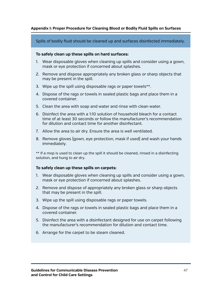#### <span id="page-50-1"></span><span id="page-50-0"></span>**Appendix I: Proper Procedure for Cleaning Blood or Bodily Fluid Spills on Surfaces**

Spills of bodily fluid should be cleaned up and surfaces disinfected immediately.

#### **To safely clean up these spills on hard surfaces:**

- 1. Wear disposable gloves when cleaning up spills and consider using a gown, mask or eye protection if concerned about splashes.
- 2. Remove and dispose appropriately any broken glass or sharp objects that may be present in the spill.
- 3. Wipe up the spill using disposable rags or paper towels\*\*.
- 4. Dispose of the rags or towels in sealed plastic bags and place them in a covered container.
- 5. Clean the area with soap and water and rinse with clean water.
- 6. Disinfect the area with a 1:10 solution of household bleach for a contact time of at least 30 seconds or follow the manufacturer's recommendation for dilution and contact time for another disinfectant.
- 7. Allow the area to air dry. Ensure the area is well ventilated.
- 8. Remove gloves (gown, eye protection, mask if used) and wash your hands immediately.

\*\* If a mop is used to clean up the spill it should be cleaned, rinsed in a disinfecting solution, and hung to air dry.

#### **To safely clean up these spills on carpets:**

- 1. Wear disposable gloves when cleaning up spills and consider using a gown, mask or eye protection if concerned about splashes.
- 2. Remove and dispose of appropriately any broken glass or sharp objects that may be present in the spill.
- 3. Wipe up the spill using disposable rags or paper towels.
- 4. Dispose of the rags or towels in sealed plastic bags and place them in a covered container.
- 5. Disinfect the area with a disinfectant designed for use on carpet following the manufacturer's recommendation for dilution and contact time.
- 6. Arrange for the carpet to be steam cleaned.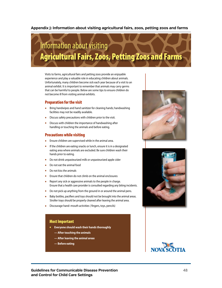#### <span id="page-51-1"></span><span id="page-51-0"></span>**Appendix J: Information about visiting agricultural fairs, zoos, petting zoos and farms**



Visits to farms, agricultural fairs and petting zoos provide an enjoyable experience and play a valuable role in educating children about animals. Unfortunately, many children become sick each year because of a visit to an animal exhibit. It is important to remember that animals may carry germs that can be harmful to people. Below are some tips to ensure children do not become ill from visiting animal exhibits.

#### Preparation for the visit

- Bring handwipes and hand sanitizer for cleaning hands; handwashing facilities may not be readily available.
- Discuss safety precautions with children prior to the visit.
- Discuss with children the importance of handwashing after handling or touching the animals and before eating.

#### Precautions while visiting

- Ensure children are supervised while in the animal area.
- If the children are eating snacks or lunch, ensure it is in a designated eating area where animals are excluded. Be sure children wash their hands prior to eating.
- Do not drink unpasteurized milk or unpasteurized apple cider
- Do not eat the animal food
- Do not kiss the animals
- Ensure that children do not climb on the animal enclosures
- Report any sick or aggressive animals to the people in charge. Ensure that a health care provider is consulted regarding any biting incidents.
- Do not pick up anything from the ground in or around the animal pens.
- Baby bottles, pacifiers and toys should not be brought into the animal areas. Stroller trays should be properly cleaned after leaving the animal area.
- Discourage hand–mouth activities ( fingers, toys, pencils)

#### Most Important

- **Everyone should wash their hands thoroughly**
	- **— After touching the animals**
	- **— After leaving the animal areas**
	- **— Before eating**





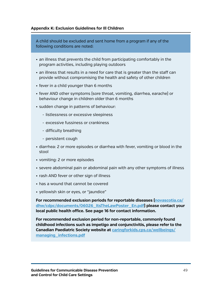#### <span id="page-52-1"></span><span id="page-52-0"></span>**Appendix K: Exclusion Guidelines for Ill Children**

A child should be excluded and sent home from a program if any of the following conditions are noted:

- an illness that prevents the child from participating comfortably in the program activities, including playing outdoors
- • an illness that results in a need for care that is greater than the staff can provide without compromising the health and safety of other children
- fever in a child younger than 6 months
- • fever AND other symptoms (sore throat, vomiting, diarrhea, earache) or behaviour change in children older than 6 months
- sudden change in patterns of behaviour:
	- listlessness or excessive sleepiness
	- excessive fussiness or crankiness
	- difficulty breathing
	- persistent cough
- • diarrhea: 2 or more episodes or diarrhea with fever, vomiting or blood in the stool
- • vomiting: 2 or more episodes
- severe abdominal pain or abdominal pain with any other symptoms of illness
- rash AND fever or other sign of illness
- has a wound that cannot be covered
- yellowish skin or eyes, or "jaundice"

**For recommended exclusion periods for reportable diseases [\(novascotia.ca/](http://novascotia.ca/dhw/cdpc/documents/06026_ItsTheLawPoster_En.pdf) [dhw/cdpc/documents/06026\\_ItsTheLawPoster\\_En.pdf](http://novascotia.ca/dhw/cdpc/documents/06026_ItsTheLawPoster_En.pdf)) please contact your local public health office. See page 16 for contact information.**

**For recommended exclusion period for non-reportable, commonly found childhood infections such as impetigo and conjunctivitis, please refer to the Canadian Paediatric Society website at [caringforkids.cps.ca/wellbeings/](http://caringforkids.cps.ca/wellbeings/managing_infections.pdf) [managing\\_infections.pdf](http://caringforkids.cps.ca/wellbeings/managing_infections.pdf)**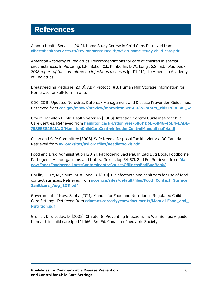## <span id="page-53-0"></span>References

Alberta Health Services (2012). Home Study Course in Child Care. Retrieved from **[albertahealthservices.ca/EnvironmentalHealth/wf-eh-home-study-child-care.pdf](http://www.albertahealthservices.ca/EnvironmentalHealth/wf-eh-home-study-child-care.pdf)**

American Academy of Pediatrics. Recommendations for care of children in special circumstances. In Pickering, L.K., Baker, C.J., Kimberlin, D.W., Long , S.S. (Ed.), *Red book: 2012 report of the committee on infectious diseases* (pp111-214). IL: American Academy of Pediatrics.

Breastfeeding Medicine (2010). ABM Protocol #8: Human Milk Storage Information for Home Use for Full-Term Infants

CDC (2011). Updated Norovirus Outbreak Management and Disease Prevention Guidelines. Retrieved from **[cdc.gov/mmwr/preview/mmwrhtml/rr6003a1.htm?s\\_cid=rr6003a1\\_w](http://www.cdc.gov/mmwr/preview/mmwrhtml/rr6003a1.htm?s_cid=rr6003a1_w)**

City of Hamilton Public Health Services (2008). Infection Control Guidelines for Child Care Centres. Retrieved from **[hamilton.ca/NR/rdonlyres/68611D6B-6B46-46B4-BADE-](http://www.hamilton.ca/NR/rdonlyres/68611D6B-6B46-46B4-BADE-758EE584E41A/0/HamiltonChildCareCentreInfectionControlManualfinal14.pdf)[758EE584E41A/0/HamiltonChildCareCentreInfectionControlManualfinal14.pdf](http://www.hamilton.ca/NR/rdonlyres/68611D6B-6B46-46B4-BADE-758EE584E41A/0/HamiltonChildCareCentreInfectionControlManualfinal14.pdf)**

Clean and Safe Committee (2008). Safe Needle Disposal Toolkit. Victoria BC Canada. Retrieved from **[avi.org/sites/avi.org/files/needletoolkit.pdf](http://avi.org/sites/avi.org/files/needletoolkit.pdf)**

Food and Drug Administration (2012). Pathogenic Bacteria. In Bad Bug Book, Foodborne Pathogenic Microorganisms and Natural Toxins (pp 54-57). 2nd Ed. Retrieved from **[fda.](http://www.fda.gov/Food/FoodborneIllnessContaminants/CausesOfIllnessBadBugBook/) [gov/Food/FoodborneIllnessContaminants/CausesOfIllnessBadBugBook/](http://www.fda.gov/Food/FoodborneIllnessContaminants/CausesOfIllnessBadBugBook/)**

Gaulin, C., Le, M., Shum, M. & Fong, D. (2011). Disinfectants and sanitizers for use of food contact surfaces. Retrieved from **[ncceh.ca/sites/default/files/Food\\_Contact\\_Surface\\_](http://www.ncceh.ca/sites/default/files/Food_Contact_Surface_Sanitizers_Aug_2011.pdf) [Sanitizers\\_Aug\\_2011.pdf](http://www.ncceh.ca/sites/default/files/Food_Contact_Surface_Sanitizers_Aug_2011.pdf)**

Government of Nova Scotia (2011). Manual for Food and Nutrition in Regulated Child Care Settings. Retrieved from **[ednet.ns.ca/earlyyears/documents/Manual-Food\\_and\\_](http://www.ednet.ns.ca/earlyyears/documents/Manual-Food_and_Nutrition.pdf) [Nutrition.pdf](http://www.ednet.ns.ca/earlyyears/documents/Manual-Food_and_Nutrition.pdf)**

Grenier, D. & Leduc, D. (2008). Chapter 8: Preventing Infections. In: Well Beings: A guide to health in child care (pp 141-166). 3rd Ed. Canadian Paediatric Society.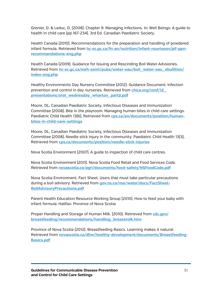Grenier, D. & Leduc, D. (2008). Chapter 9: Managing Infections. In: Well Beings: A guide to health in child care (pp 167-234). 3rd Ed. Canadian Paediatric Society.

Health Canada (2010). Recommendations for the preparation and handling of powdered infant formula. Retrieved from **[hc-sc.gc.ca/fn-an/nutrition/infant-nourisson/pif-ppn](http://www.hc-sc.gc.ca/fn-an/nutrition/infant-nourisson/pif-ppn-recommandations-eng.php)[recommandations-eng.php](http://www.hc-sc.gc.ca/fn-an/nutrition/infant-nourisson/pif-ppn-recommandations-eng.php)**

Health Canada (2009). Guidance for Issuing and Rescinding Boil Water Advsiories. Retrieved from **[hc-sc.gc.ca/ewh-semt/pubs/water-eau/boil\\_water-eau\\_ebullition/](http://www.hc-sc.gc.ca/ewh-semt/pubs/water-eau/boil_water-eau_ebullition/index-eng.php) [index-eng.php](http://www.hc-sc.gc.ca/ewh-semt/pubs/water-eau/boil_water-eau_ebullition/index-eng.php)**

Healthy Environments Day Nursery Committee (2012). Guidance Document: Infection prevention and control in day nurseries. Retrieved from **[chica.org/conf/12\\_](http://www.chica.org/conf/12_presentations/oral_wednesday_wharton_part2.pdf) [presentations/oral\\_wednesday\\_wharton\\_part2.pdf](http://www.chica.org/conf/12_presentations/oral_wednesday_wharton_part2.pdf)**

Moore, DL, Canadian Paediatric Society, Infectious Diseases and Immunization Committee (2008). Bite in the playroom: Managing human bites in child care settings. Paediatric Child Health 13(6), Retrieved from **[cps.ca/en/documents/position/human](http://www.cps.ca/en/documents/position/human-bites-in-child-care-settings)[bites-in-child-care-settings](http://www.cps.ca/en/documents/position/human-bites-in-child-care-settings)**

Moore, DL, Canadian Paediatric Society, Infectious Diseases and Immunization Committee (2008). Needle stick injury in the community. Paediatric Child Health 13(3), Retrieved from **[cps.ca/documents/position/needle-stick-injuries](http://www.cps.ca/documents/position/needle-stick-injuries)**

Nova Scotia Environment (2007). A guide to inspection of child care centres.

Nova Scotia Environment (2011). Nova Scotia Food Retail and Food Services Code. Retrieved from **[novascotia.ca/agri/documents/food-safety/NSFoodCode.pdf](http://www.novascotia.ca/agri/documents/food-safety/NSFoodCode.pdf)**

Nova Scotia Environment. Fact Sheet. Users that must take particular precautions during a boil advisory. Retrieved from **[gov.ns.ca/nse/water/docs/FactSheet-](http://www.gov.ns.ca/nse/water/docs/FactSheet-BoilAdvisoryPrecautions.pdf)[BoilAdvisoryPrecautions.pdf](http://www.gov.ns.ca/nse/water/docs/FactSheet-BoilAdvisoryPrecautions.pdf)**

Parent Health Education Resource Working Group (2010). How to feed your baby with infant formula. Halifax: Province of Nova Scotia

Proper Handling and Storage of Human Milk. [2010]. Retrieved from **cdc.gov**/ **[breastfeeding/recommendations/handling\\_breastmilk.htm](http://www.cdc.gov/breastfeeding/recommendations/handling_breastmilk.htm)**

Province of Nova Scotia (2012). Breastfeeding Basics. Learning makes it natural. Retrieved from **[novascotia.ca/dhw/healthy-development/documents/Breastfeeding-](http://novascotia.ca/dhw/healthy-development/documents/Breastfeeding-Basics.pdf)[Basics.pdf](http://novascotia.ca/dhw/healthy-development/documents/Breastfeeding-Basics.pdf)**